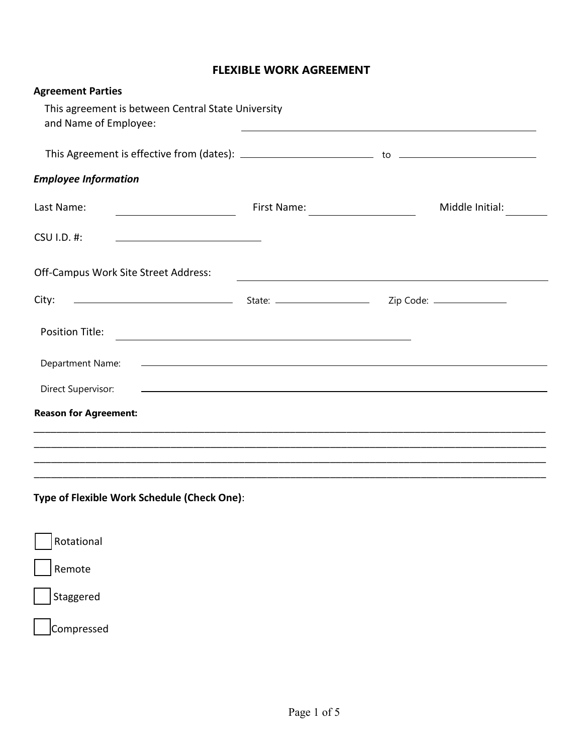# **FLEXIBLE WORK AGREEMENT**

| <b>Agreement Parties</b>                                                                                                |                                                                                                                        |                 |
|-------------------------------------------------------------------------------------------------------------------------|------------------------------------------------------------------------------------------------------------------------|-----------------|
| This agreement is between Central State University<br>and Name of Employee:                                             | and the control of the control of the control of the control of the control of the control of the control of the       |                 |
|                                                                                                                         |                                                                                                                        |                 |
| <b>Employee Information</b>                                                                                             |                                                                                                                        |                 |
| Last Name:                                                                                                              |                                                                                                                        | Middle Initial: |
| CSU I.D. #:<br><u> 1989 - Johann Barbara, martxa alemaniar a</u>                                                        |                                                                                                                        |                 |
| Off-Campus Work Site Street Address:                                                                                    | <u> 1989 - Johann Stoff, deutscher Stoffen und der Stoffen und der Stoffen und der Stoffen und der Stoffen und der</u> |                 |
| Example 21 State: All Code: All Code: All Code: All Code: All Code: All Code: All Code: All Code: All Code: Al<br>City: |                                                                                                                        |                 |
| <b>Position Title:</b>                                                                                                  |                                                                                                                        |                 |
| Department Name:                                                                                                        | <u> 1990 - Johann John Stone, markin fan it ferstjer fan de ferstjer fan it ferstjer fan it ferstjer fan it fers</u>   |                 |
| Direct Supervisor:                                                                                                      | <u> 1999 - Johann Harry Harry Harry Harry Harry Harry Harry Harry Harry Harry Harry Harry Harry Harry Harry Harry</u>  |                 |
| <b>Reason for Agreement:</b>                                                                                            |                                                                                                                        |                 |
|                                                                                                                         |                                                                                                                        |                 |
| <u> 1999 - Jan James James James James James James James James James James James James James James James James</u>      |                                                                                                                        |                 |
| Type of Flexible Work Schedule (Check One):                                                                             |                                                                                                                        |                 |
| Rotational                                                                                                              |                                                                                                                        |                 |
| Remote                                                                                                                  |                                                                                                                        |                 |
| Staggered                                                                                                               |                                                                                                                        |                 |

Compressed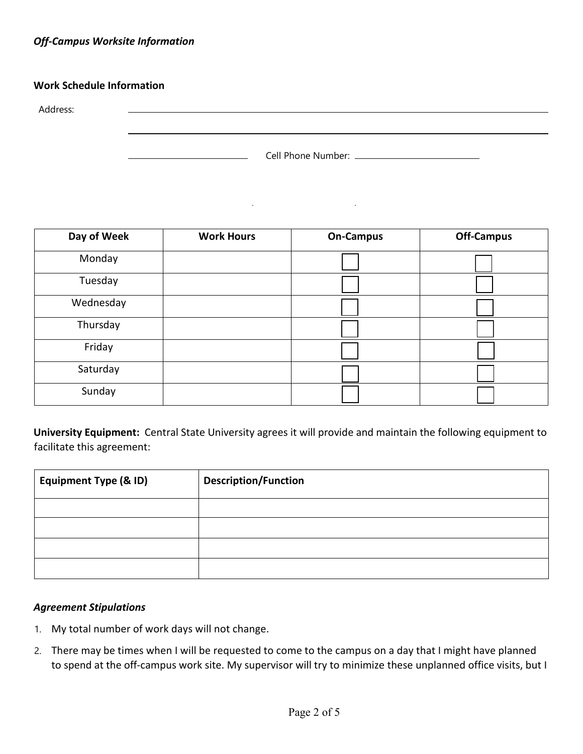# *Off-Campus Worksite Information*

### **Work Schedule Information**

Address:

| Cell Phone Number: |  |
|--------------------|--|
|--------------------|--|

 $\alpha$ 

L,

 $\mathcal{L}_{\rm{max}}$ 

| Day of Week | <b>Work Hours</b> | <b>On-Campus</b> | <b>Off-Campus</b> |
|-------------|-------------------|------------------|-------------------|
| Monday      |                   |                  |                   |
| Tuesday     |                   |                  |                   |
| Wednesday   |                   |                  |                   |
| Thursday    |                   |                  |                   |
| Friday      |                   |                  |                   |
| Saturday    |                   |                  |                   |
| Sunday      |                   |                  |                   |

**University Equipment:** Central State University agrees it will provide and maintain the following equipment to facilitate this agreement:

| <b>Equipment Type (&amp; ID)</b> | <b>Description/Function</b> |
|----------------------------------|-----------------------------|
|                                  |                             |
|                                  |                             |
|                                  |                             |
|                                  |                             |

#### *Agreement Stipulations*

- 1. My total number of work days will not change.
- 2. There may be times when I will be requested to come to the campus on a day that I might have planned to spend at the off-campus work site. My supervisor will try to minimize these unplanned office visits, but I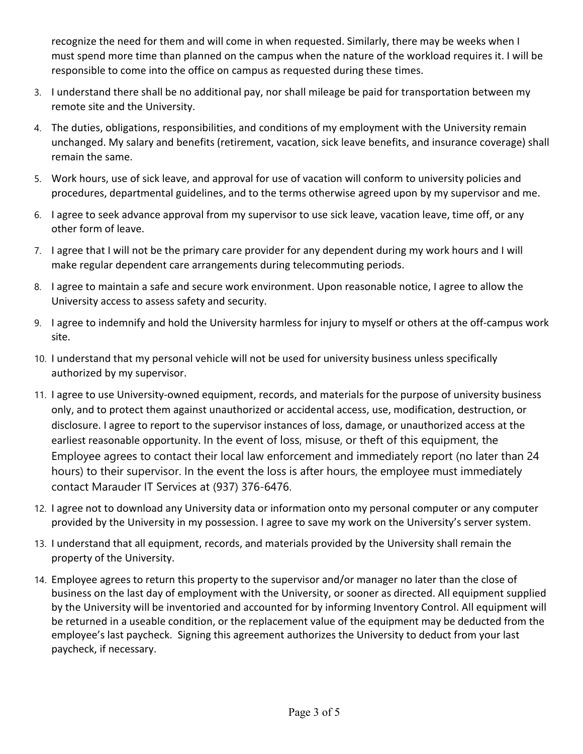recognize the need for them and will come in when requested. Similarly, there may be weeks when I must spend more time than planned on the campus when the nature of the workload requires it. I will be responsible to come into the office on campus as requested during these times.

- 3. I understand there shall be no additional pay, nor shall mileage be paid for transportation between my remote site and the University.
- 4. The duties, obligations, responsibilities, and conditions of my employment with the University remain unchanged. My salary and benefits (retirement, vacation, sick leave benefits, and insurance coverage) shall remain the same.
- 5. Work hours, use of sick leave, and approval for use of vacation will conform to university policies and procedures, departmental guidelines, and to the terms otherwise agreed upon by my supervisor and me.
- 6. I agree to seek advance approval from my supervisor to use sick leave, vacation leave, time off, or any other form of leave.
- 7. I agree that I will not be the primary care provider for any dependent during my work hours and I will make regular dependent care arrangements during telecommuting periods.
- 8. I agree to maintain a safe and secure work environment. Upon reasonable notice, I agree to allow the University access to assess safety and security.
- 9. I agree to indemnify and hold the University harmless for injury to myself or others at the off-campus work site.
- 10. I understand that my personal vehicle will not be used for university business unless specifically authorized by my supervisor.
- 11. I agree to use University-owned equipment, records, and materials for the purpose of university business only, and to protect them against unauthorized or accidental access, use, modification, destruction, or disclosure. I agree to report to the supervisor instances of loss, damage, or unauthorized access at the earliest reasonable opportunity. In the event of loss, misuse, or theft of this equipment, the Employee agrees to contact their local law enforcement and immediately report (no later than 24 hours) to their supervisor. In the event the loss is after hours, the employee must immediately contact Marauder IT Services at (937) 376-6476.
- 12. I agree not to download any University data or information onto my personal computer or any computer provided by the University in my possession. I agree to save my work on the University's server system.
- 13. I understand that all equipment, records, and materials provided by the University shall remain the property of the University.
- 14. Employee agrees to return this property to the supervisor and/or manager no later than the close of business on the last day of employment with the University, or sooner as directed. All equipment supplied by the University will be inventoried and accounted for by informing Inventory Control. All equipment will be returned in a useable condition, or the replacement value of the equipment may be deducted from the employee's last paycheck. Signing this agreement authorizes the University to deduct from your last paycheck, if necessary.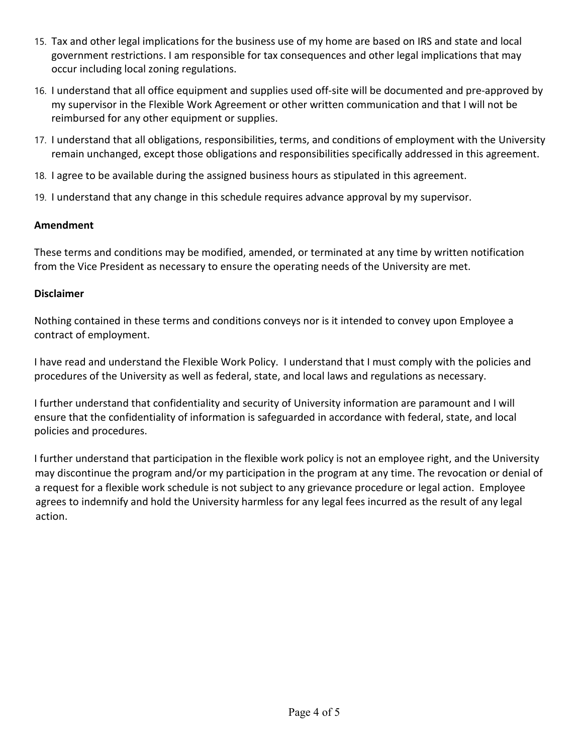- 15. Tax and other legal implications for the business use of my home are based on IRS and state and local government restrictions. I am responsible for tax consequences and other legal implications that may occur including local zoning regulations.
- 16. I understand that all office equipment and supplies used off-site will be documented and pre-approved by my supervisor in the Flexible Work Agreement or other written communication and that I will not be reimbursed for any other equipment or supplies.
- 17. I understand that all obligations, responsibilities, terms, and conditions of employment with the University remain unchanged, except those obligations and responsibilities specifically addressed in this agreement.
- 18. I agree to be available during the assigned business hours as stipulated in this agreement.
- 19. I understand that any change in this schedule requires advance approval by my supervisor.

# **Amendment**

These terms and conditions may be modified, amended, or terminated at any time by written notification from the Vice President as necessary to ensure the operating needs of the University are met.

### **Disclaimer**

Nothing contained in these terms and conditions conveys nor is it intended to convey upon Employee a contract of employment.

I have read and understand the Flexible Work Policy. I understand that I must comply with the policies and procedures of the University as well as federal, state, and local laws and regulations as necessary.

I further understand that confidentiality and security of University information are paramount and I will ensure that the confidentiality of information is safeguarded in accordance with federal, state, and local policies and procedures.

I further understand that participation in the flexible work policy is not an employee right, and the University may discontinue the program and/or my participation in the program at any time. The revocation or denial of a request for a flexible work schedule is not subject to any grievance procedure or legal action. Employee agrees to indemnify and hold the University harmless for any legal fees incurred as the result of any legal action.